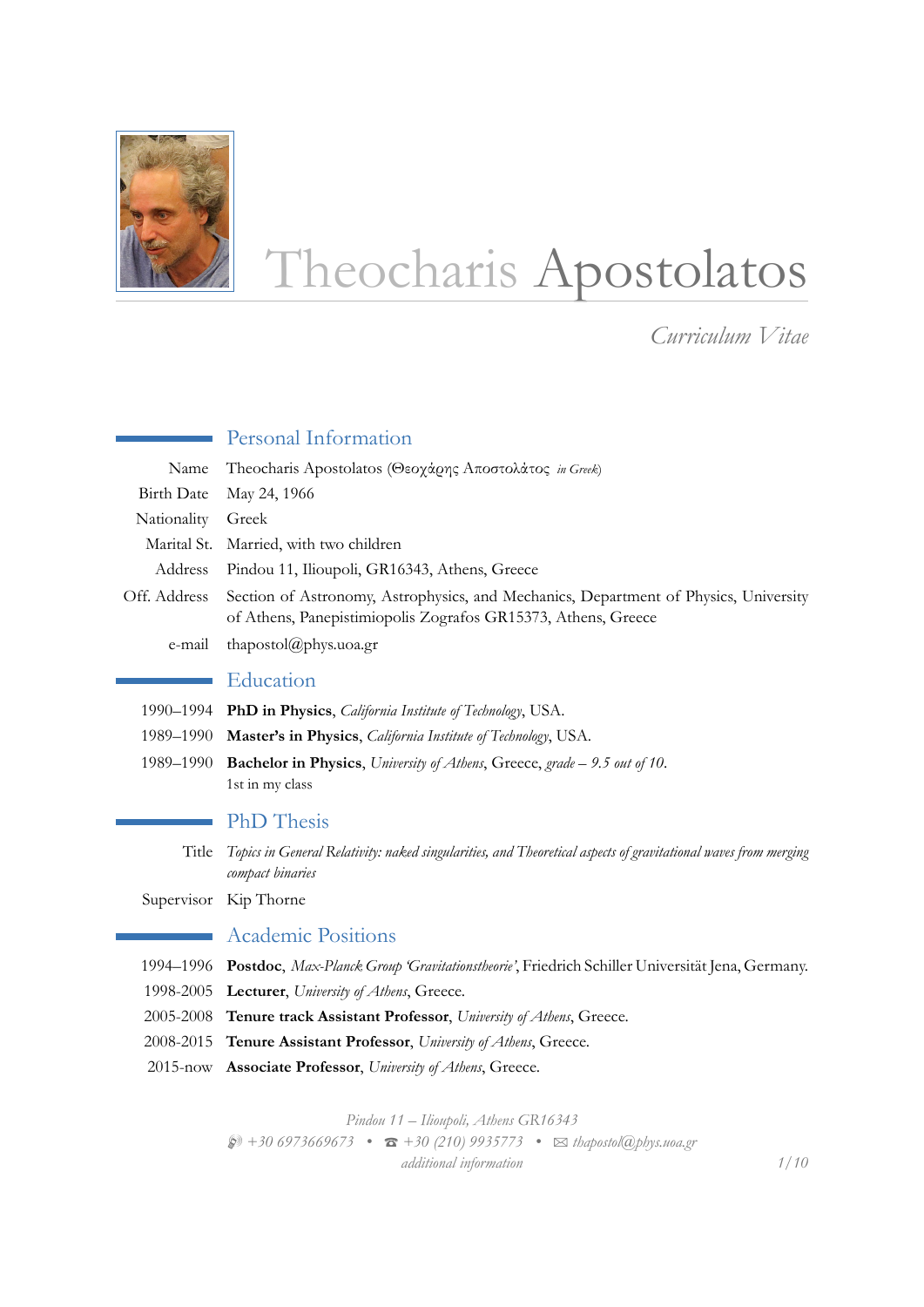

# Theocharis Apostolatos

*Curriculum Vitae*

|                   | Personal Information                                                                                                                                  |
|-------------------|-------------------------------------------------------------------------------------------------------------------------------------------------------|
| Name              | Theocharis Apostolatos (Θεοχάρης Αποστολάτος in Greek)                                                                                                |
| <b>Birth Date</b> | May 24, 1966                                                                                                                                          |
| Nationality       | Greek                                                                                                                                                 |
| Marital St.       | Married, with two children                                                                                                                            |
| Address           | Pindou 11, Ilioupoli, GR16343, Athens, Greece                                                                                                         |
| Off. Address      | Section of Astronomy, Astrophysics, and Mechanics, Department of Physics, University<br>of Athens, Panepistimiopolis Zografos GR15373, Athens, Greece |
| e-mail            | thapostol@phys.uoa.gr                                                                                                                                 |
|                   | Education                                                                                                                                             |
| 1990–1994         | PhD in Physics, <i>California Institute of Technology</i> , USA.                                                                                      |
| 1989-1990         | Master's in Physics, California Institute of Technology, USA.                                                                                         |
| 1989–1990         | Bachelor in Physics, University of Athens, Greece, grade - 9.5 out of 10.<br>1st in my class                                                          |
|                   | <b>PhD</b> Thesis                                                                                                                                     |
| Title             | Topics in General Relativity: naked singularities, and Theoretical aspects of gravitational waves from merging<br>compact binaries                    |
| Supervisor        | Kip Thorne                                                                                                                                            |
|                   | <b>Academic Positions</b>                                                                                                                             |
| 1994–1996         | Postdoc, Max-Planck Group 'Gravitationstheorie', Friedrich Schiller Universität Jena, Germany.                                                        |

- 1998-2005 **Lecturer**, *University of Athens*, Greece.
- 2005-2008 **Tenure track Assistant Professor**, *University of Athens*, Greece.
- 2008-2015 **Tenure Assistant Professor**, *University of Athens*, Greece.
- 2015-now **Associate Professor**, *University of Athens*, Greece.

*Pindou 11 – Ilioupoli, Athens GR16343* H *+30 6973669673 •* T *+30 (210) 9935773 •* B *thapostol@phys.uoa.gr additional information 1/10*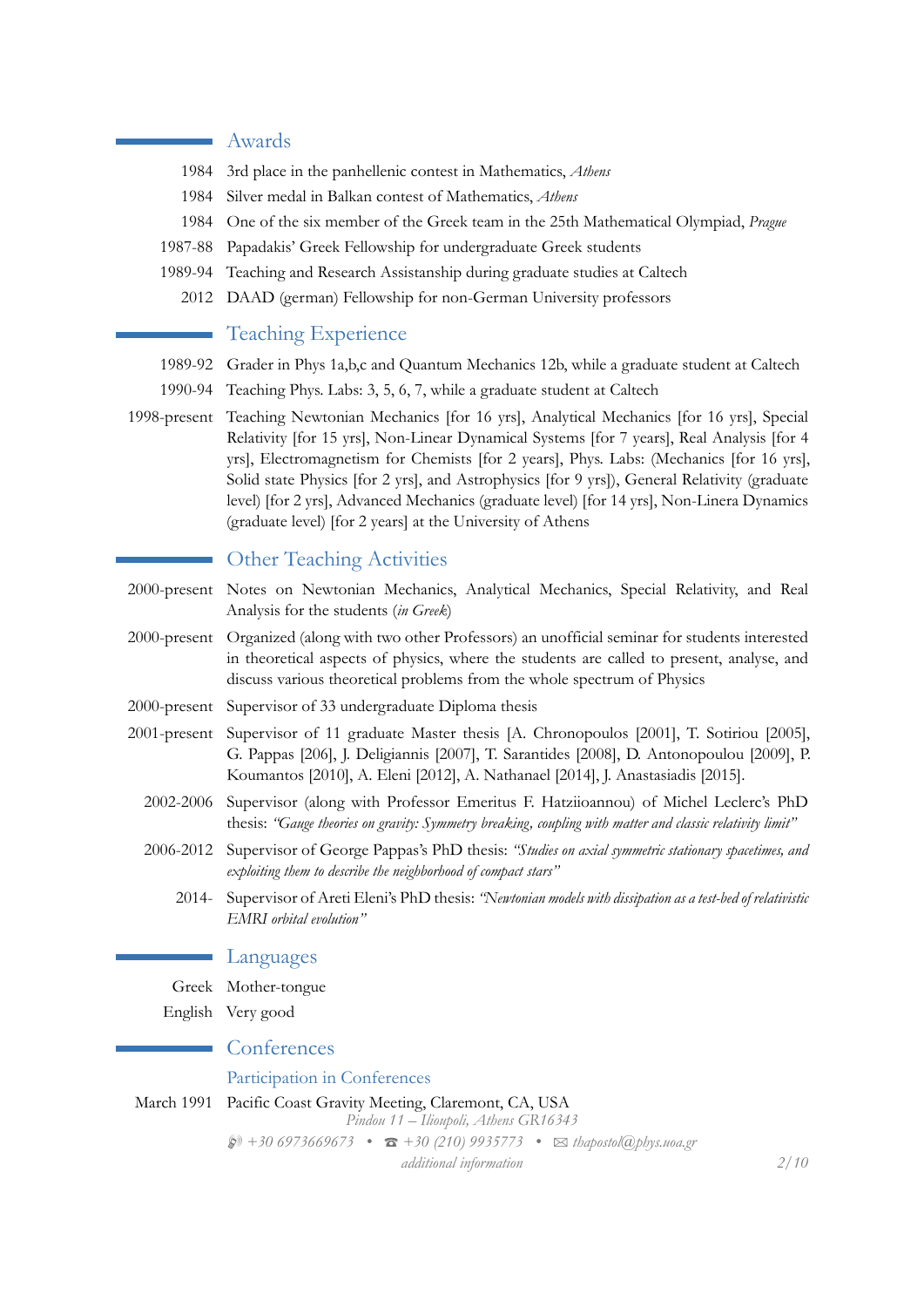## Awards

- 1984 3rd place in the panhellenic contest in Mathematics, *Athens*
- 1984 Silver medal in Balkan contest of Mathematics, *Athens*
- 1984 One of the six member of the Greek team in the 25th Mathematical Olympiad, *Prague*
- 1987-88 Papadakis' Greek Fellowship for undergraduate Greek students
- 1989-94 Teaching and Research Assistanship during graduate studies at Caltech
	- 2012 DAAD (german) Fellowship for non-German University professors

## Teaching Experience

- 1989-92 Grader in Phys 1a,b,c and Quantum Mechanics 12b, while a graduate student at Caltech
- 1990-94 Teaching Phys. Labs: 3, 5, 6, 7, while a graduate student at Caltech
- 1998-present Teaching Newtonian Mechanics [for 16 yrs], Analytical Mechanics [for 16 yrs], Special Relativity [for 15 yrs], Non-Linear Dynamical Systems [for 7 years], Real Analysis [for 4 yrs], Electromagnetism for Chemists [for 2 years], Phys. Labs: (Mechanics [for 16 yrs], Solid state Physics [for 2 yrs], and Astrophysics [for 9 yrs]), General Relativity (graduate level) [for 2 yrs], Advanced Mechanics (graduate level) [for 14 yrs], Non-Linera Dynamics (graduate level) [for 2 years] at the University of Athens

# Other Teaching Activities

- 2000-present Notes on Newtonian Mechanics, Analytical Mechanics, Special Relativity, and Real Analysis for the students (*in Greek*)
- 2000-present Organized (along with two other Professors) an unofficial seminar for students interested in theoretical aspects of physics, where the students are called to present, analyse, and discuss various theoretical problems from the whole spectrum of Physics
- 2000-present Supervisor of 33 undergraduate Diploma thesis
- 2001-present Supervisor of 11 graduate Master thesis [A. Chronopoulos [2001], T. Sotiriou [2005], G. Pappas [206], J. Deligiannis [2007], T. Sarantides [2008], D. Antonopoulou [2009], P. Koumantos [2010], A. Eleni [2012], A. Nathanael [2014], J. Anastasiadis [2015].
	- 2002-2006 Supervisor (along with Professor Emeritus F. Hatziioannou) of Michel Leclerc's PhD thesis: *"Gauge theories on gravity: Symmetry breaking, coupling with matter and classic relativity limit"*
	- 2006-2012 Supervisor of George Pappas's PhD thesis: *"Studies on axial symmetric stationary spacetimes, and exploiting them to describe the neighborhood of compact stars"*
		- 2014- Supervisor of Areti Eleni's PhD thesis: *"Newtonian models with dissipation as a test-bed of relativistic EMRI orbital evolution"*

#### Languages

Greek Mother-tongue

English Very good

### ■ Conferences

## Participation in Conferences

March 1991 Pacific Coast Gravity Meeting, Claremont, CA, USA

*Pindou 11 – Ilioupoli, Athens GR16343*

 $\bullet$  +30 6973669673 **•**  $\bullet$  +30 (210) 9935773 •  $\bullet$  *Exthapostol*(a)*phys.uoa.gr* 

*additional information 2/10*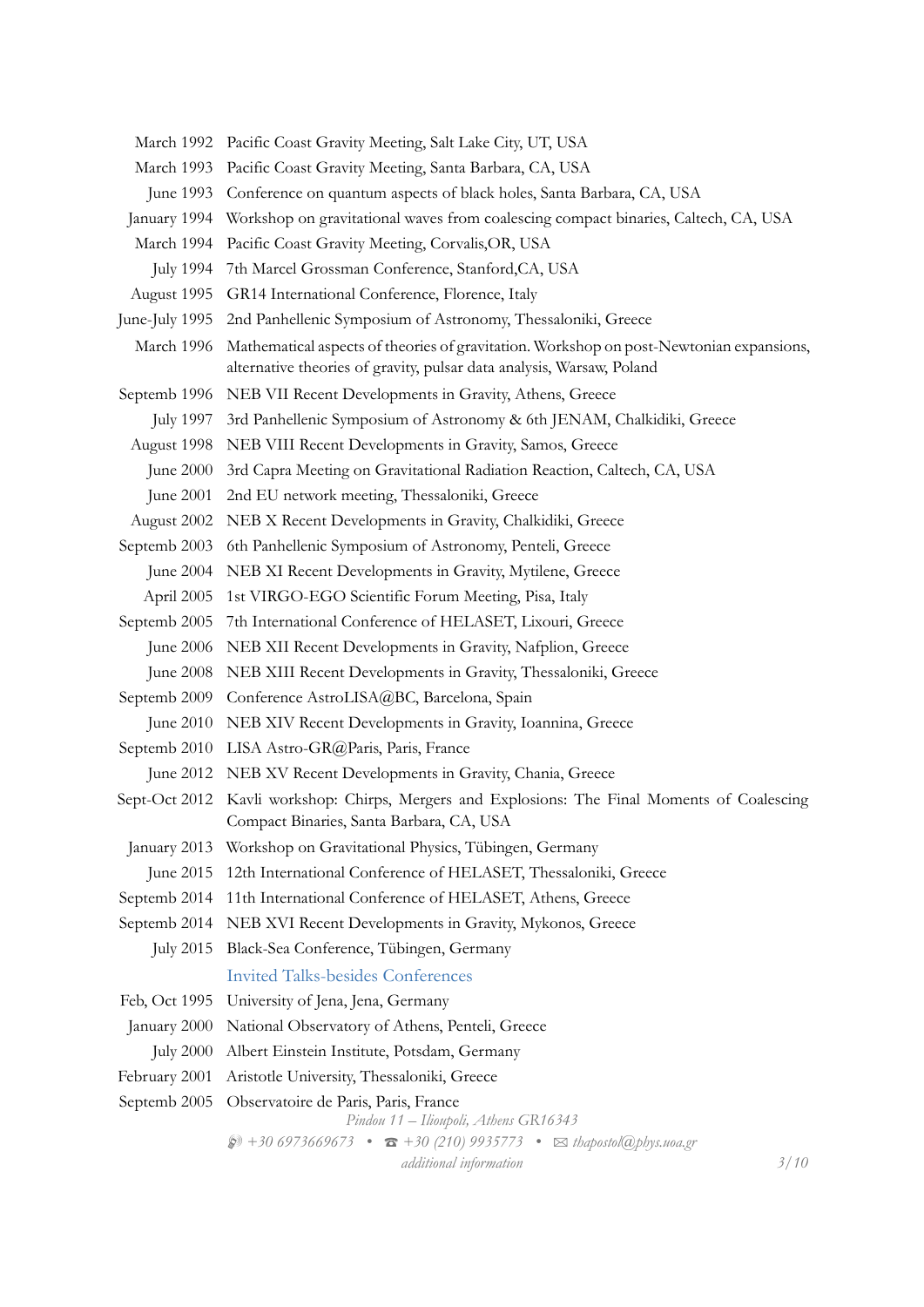- March 1992 Pacific Coast Gravity Meeting, Salt Lake City, UT, USA
- March 1993 Pacific Coast Gravity Meeting, Santa Barbara, CA, USA
- June 1993 Conference on quantum aspects of black holes, Santa Barbara, CA, USA
- January 1994 Workshop on gravitational waves from coalescing compact binaries, Caltech, CA, USA
- March 1994 Pacific Coast Gravity Meeting, Corvalis,OR, USA
- July 1994 7th Marcel Grossman Conference, Stanford,CA, USA
- August 1995 GR14 International Conference, Florence, Italy
- June-July 1995 2nd Panhellenic Symposium of Astronomy, Thessaloniki, Greece
- March 1996 Mathematical aspects of theories of gravitation. Workshop on post-Newtonian expansions, alternative theories of gravity, pulsar data analysis, Warsaw, Poland
- Septemb 1996 NEB VII Recent Developments in Gravity, Athens, Greece
	- July 1997 3rd Panhellenic Symposium of Astronomy & 6th JENAM, Chalkidiki, Greece
- August 1998 NEB VIII Recent Developments in Gravity, Samos, Greece
	- June 2000 3rd Capra Meeting on Gravitational Radiation Reaction, Caltech, CA, USA
- June 2001 2nd EU network meeting, Thessaloniki, Greece
- August 2002 NEB X Recent Developments in Gravity, Chalkidiki, Greece
- Septemb 2003 6th Panhellenic Symposium of Astronomy, Penteli, Greece
- June 2004 NEB XI Recent Developments in Gravity, Mytilene, Greece
- April 2005 1st VIRGO-EGO Scientific Forum Meeting, Pisa, Italy
- Septemb 2005 7th International Conference of HELASET, Lixouri, Greece
	- June 2006 NEB XII Recent Developments in Gravity, Nafplion, Greece
	- June 2008 NEB XIII Recent Developments in Gravity, Thessaloniki, Greece
- Septemb 2009 Conference AstroLISA@BC, Barcelona, Spain
- June 2010 NEB XIV Recent Developments in Gravity, Ioannina, Greece
- Septemb 2010 LISA Astro-GR@Paris, Paris, France
	- June 2012 NEB XV Recent Developments in Gravity, Chania, Greece
- Sept-Oct 2012 Kavli workshop: Chirps, Mergers and Explosions: The Final Moments of Coalescing Compact Binaries, Santa Barbara, CA, USA
- January 2013 Workshop on Gravitational Physics, Tübingen, Germany
- June 2015 12th International Conference of HELASET, Thessaloniki, Greece
- Septemb 2014 11th International Conference of HELASET, Athens, Greece
- Septemb 2014 NEB XVI Recent Developments in Gravity, Mykonos, Greece
- July 2015 Black-Sea Conference, Tübingen, Germany Invited Talks-besides Conferences
- Feb, Oct 1995 University of Jena, Jena, Germany
- January 2000 National Observatory of Athens, Penteli, Greece
- July 2000 Albert Einstein Institute, Potsdam, Germany
- February 2001 Aristotle University, Thessaloniki, Greece
- Septemb 2005 Observatoire de Paris, Paris, France

*Pindou 11 – Ilioupoli, Athens GR16343*

H *+30 6973669673 •* T *+30 (210) 9935773 •* B *thapostol@phys.uoa.gr*

*additional information 3/10*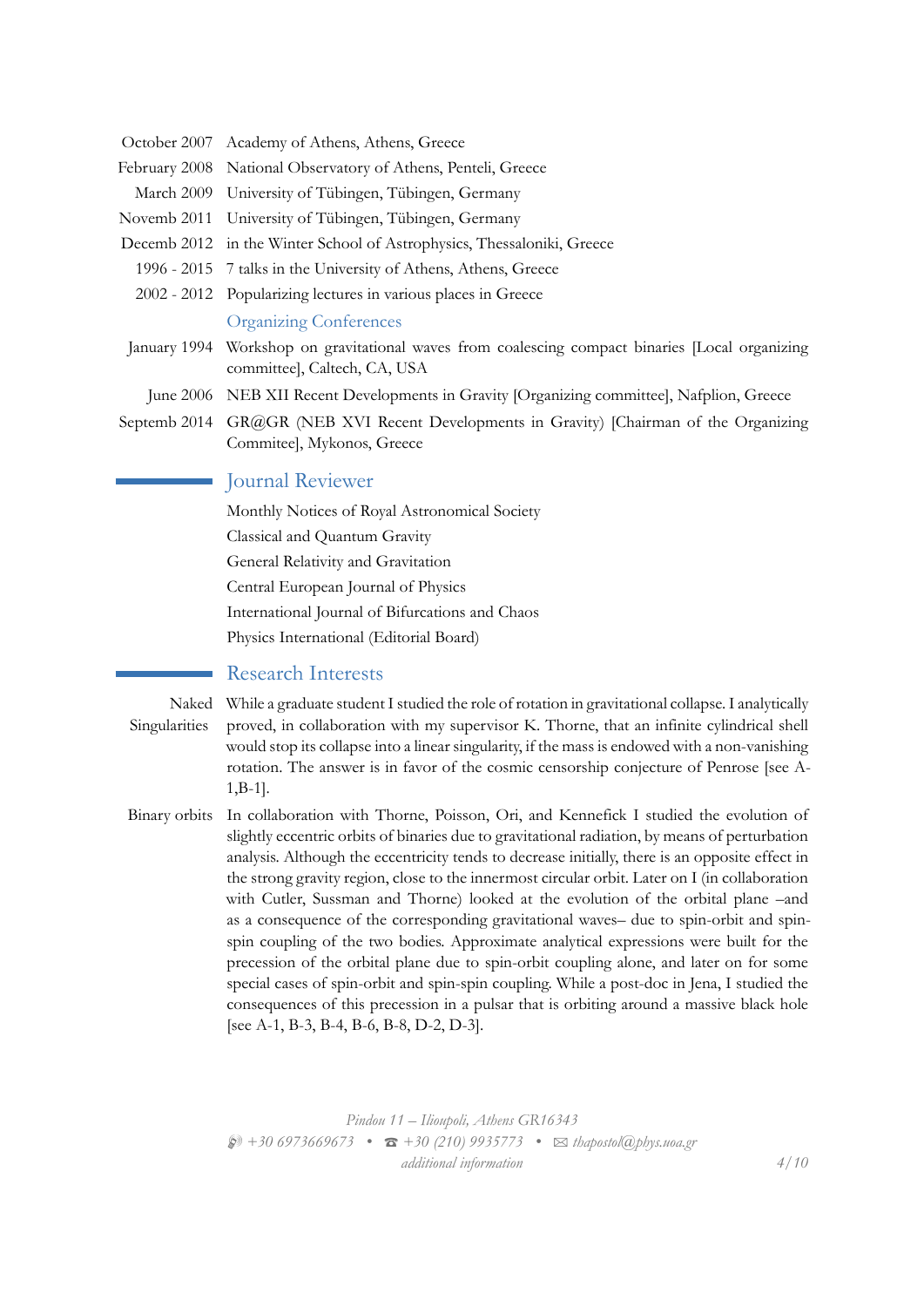- October 2007 Academy of Athens, Athens, Greece
- February 2008 National Observatory of Athens, Penteli, Greece
- March 2009 University of Tübingen, Tübingen, Germany
- Novemb 2011 University of Tübingen, Tübingen, Germany
- Decemb 2012 in the Winter School of Astrophysics, Thessaloniki, Greece
- 1996 2015 7 talks in the University of Athens, Athens, Greece
- 2002 2012 Popularizing lectures in various places in Greece Organizing Conferences
- January 1994 Workshop on gravitational waves from coalescing compact binaries [Local organizing committee], Caltech, CA, USA
- June 2006 NEB XII Recent Developments in Gravity [Organizing committee], Nafplion, Greece
- Septemb 2014 GR@GR (NEB XVI Recent Developments in Gravity) [Chairman of the Organizing Commitee], Mykonos, Greece

## Journal Reviewer

Monthly Notices of Royal Astronomical Society Classical and Quantum Gravity General Relativity and Gravitation Central European Journal of Physics International Journal of Bifurcations and Chaos Physics International (Editorial Board)

#### Research Interests

- Naked While a graduate student I studied the role of rotation in gravitational collapse. I analytically Singularities proved, in collaboration with my supervisor K. Thorne, that an infinite cylindrical shell would stop its collapse into a linear singularity, if the mass is endowed with a non-vanishing rotation. The answer is in favor of the cosmic censorship conjecture of Penrose [see A-1,B-1].
- Binary orbits In collaboration with Thorne, Poisson, Ori, and Kennefick I studied the evolution of slightly eccentric orbits of binaries due to gravitational radiation, by means of perturbation analysis. Although the eccentricity tends to decrease initially, there is an opposite effect in the strong gravity region, close to the innermost circular orbit. Later on I (in collaboration with Cutler, Sussman and Thorne) looked at the evolution of the orbital plane –and as a consequence of the corresponding gravitational waves– due to spin-orbit and spinspin coupling of the two bodies. Approximate analytical expressions were built for the precession of the orbital plane due to spin-orbit coupling alone, and later on for some special cases of spin-orbit and spin-spin coupling. While a post-doc in Jena, I studied the consequences of this precession in a pulsar that is orbiting around a massive black hole [see A-1, B-3, B-4, B-6, B-8, D-2, D-3].

*Pindou 11 – Ilioupoli, Athens GR16343* H *+30 6973669673 •* T *+30 (210) 9935773 •* B *thapostol@phys.uoa.gr additional information 4/10*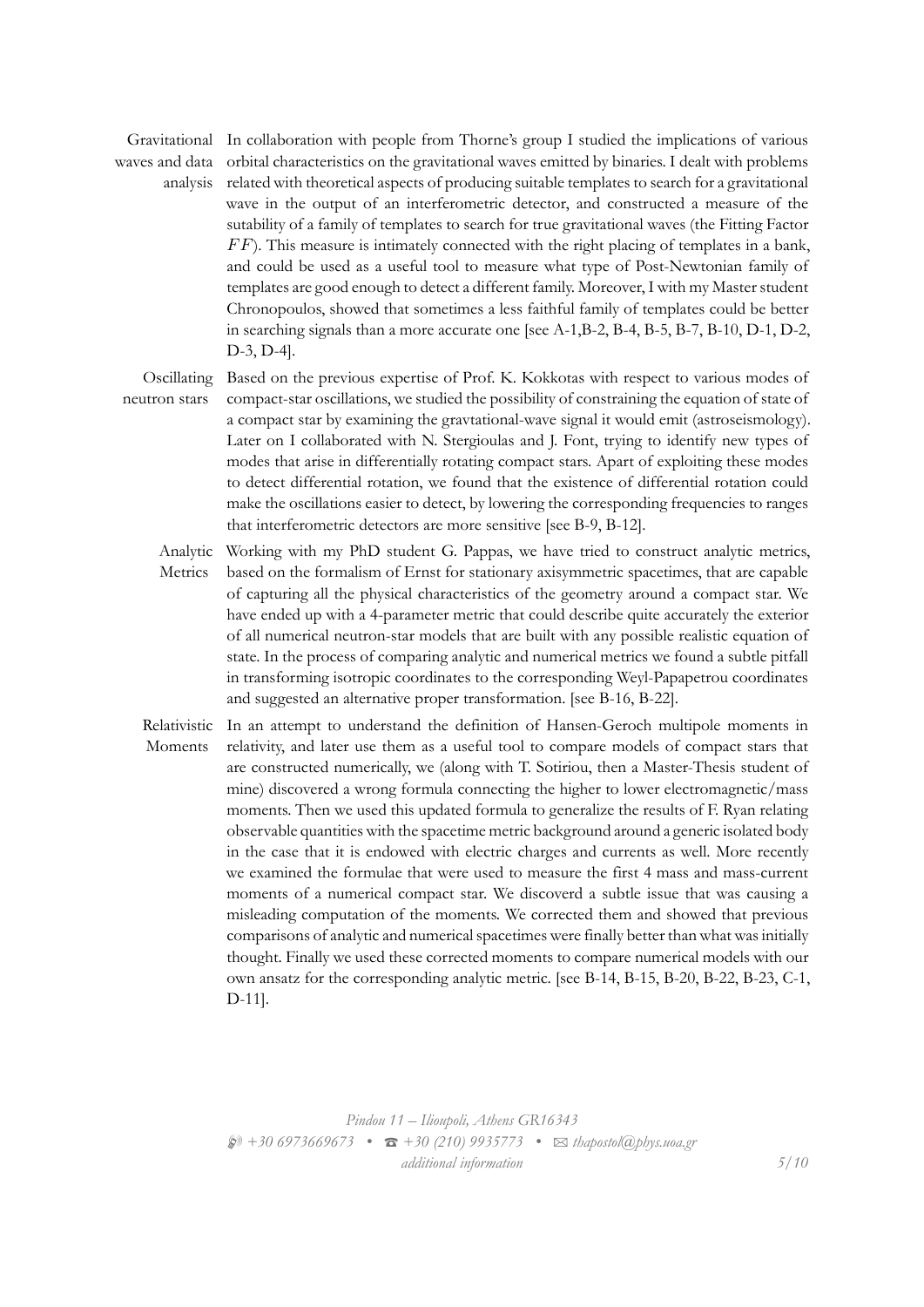Gravitational In collaboration with people from Thorne's group I studied the implications of various waves and data

analysis related with theoretical aspects of producing suitable templates to search for a gravitational orbital characteristics on the gravitational waves emitted by binaries. I dealt with problems wave in the output of an interferometric detector, and constructed a measure of the sutability of a family of templates to search for true gravitational waves (the Fitting Factor *F F*). This measure is intimately connected with the right placing of templates in a bank, and could be used as a useful tool to measure what type of Post-Newtonian family of templates are good enough to detect a different family. Moreover, I with my Master student Chronopoulos, showed that sometimes a less faithful family of templates could be better in searching signals than a more accurate one [see A-1,B-2, B-4, B-5, B-7, B-10, D-1, D-2, D-3, D-4].

Oscillating neutron stars Based on the previous expertise of Prof. K. Kokkotas with respect to various modes of compact-star oscillations, we studied the possibility of constraining the equation of state of a compact star by examining the gravtational-wave signal it would emit (astroseismology). Later on I collaborated with N. Stergioulas and J. Font, trying to identify new types of modes that arise in differentially rotating compact stars. Apart of exploiting these modes to detect differential rotation, we found that the existence of differential rotation could make the oscillations easier to detect, by lowering the corresponding frequencies to ranges that interferometric detectors are more sensitive [see B-9, B-12].

Analytic Metrics Working with my PhD student G. Pappas, we have tried to construct analytic metrics, based on the formalism of Ernst for stationary axisymmetric spacetimes, that are capable of capturing all the physical characteristics of the geometry around a compact star. We have ended up with a 4-parameter metric that could describe quite accurately the exterior of all numerical neutron-star models that are built with any possible realistic equation of state. In the process of comparing analytic and numerical metrics we found a subtle pitfall in transforming isotropic coordinates to the corresponding Weyl-Papapetrou coordinates and suggested an alternative proper transformation. [see B-16, B-22].

Relativistic Moments In an attempt to understand the definition of Hansen-Geroch multipole moments in relativity, and later use them as a useful tool to compare models of compact stars that are constructed numerically, we (along with T. Sotiriou, then a Master-Thesis student of mine) discovered a wrong formula connecting the higher to lower electromagnetic/mass moments. Then we used this updated formula to generalize the results of F. Ryan relating observable quantities with the spacetime metric background around a generic isolated body in the case that it is endowed with electric charges and currents as well. More recently we examined the formulae that were used to measure the first 4 mass and mass-current moments of a numerical compact star. We discoverd a subtle issue that was causing a misleading computation of the moments. We corrected them and showed that previous comparisons of analytic and numerical spacetimes were finally better than what was initially thought. Finally we used these corrected moments to compare numerical models with our own ansatz for the corresponding analytic metric. [see B-14, B-15, B-20, B-22, B-23, C-1, D-11].

> *Pindou 11 – Ilioupoli, Athens GR16343* H *+30 6973669673 •* T *+30 (210) 9935773 •* B *thapostol@phys.uoa.gr additional information 5/10*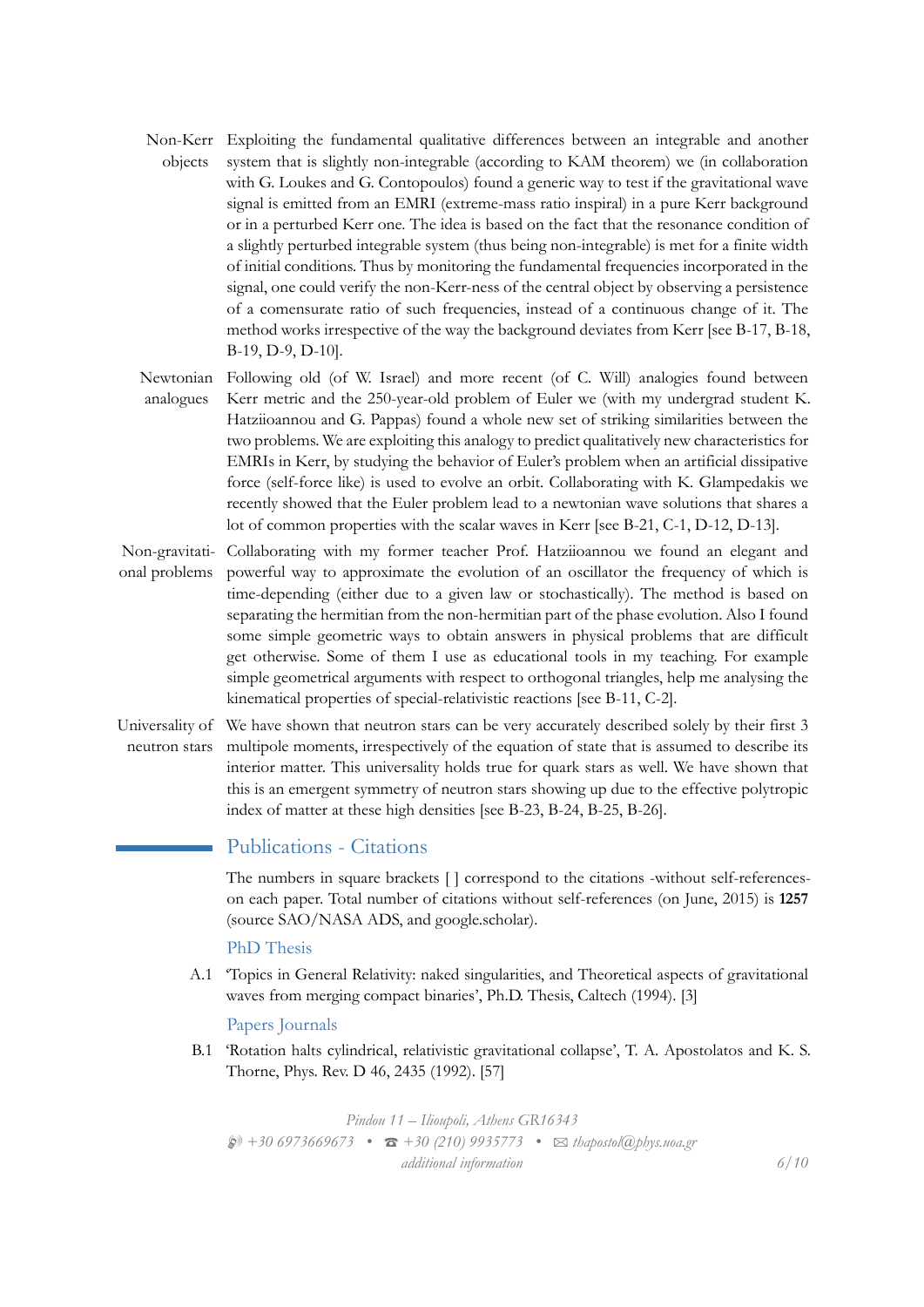Non-Kerr Exploiting the fundamental qualitative differences between an integrable and another objects system that is slightly non-integrable (according to KAM theorem) we (in collaboration with G. Loukes and G. Contopoulos) found a generic way to test if the gravitational wave signal is emitted from an EMRI (extreme-mass ratio inspiral) in a pure Kerr background or in a perturbed Kerr one. The idea is based on the fact that the resonance condition of a slightly perturbed integrable system (thus being non-integrable) is met for a finite width of initial conditions. Thus by monitoring the fundamental frequencies incorporated in the signal, one could verify the non-Kerr-ness of the central object by observing a persistence of a comensurate ratio of such frequencies, instead of a continuous change of it. The method works irrespective of the way the background deviates from Kerr [see B-17, B-18, B-19, D-9, D-10].

Newtonian analogues Following old (of W. Israel) and more recent (of C. Will) analogies found between Kerr metric and the 250-year-old problem of Euler we (with my undergrad student K. Hatziioannou and G. Pappas) found a whole new set of striking similarities between the two problems. We are exploiting this analogy to predict qualitatively new characteristics for EMRIs in Kerr, by studying the behavior of Euler's problem when an artificial dissipative force (self-force like) is used to evolve an orbit. Collaborating with K. Glampedakis we recently showed that the Euler problem lead to a newtonian wave solutions that shares a lot of common properties with the scalar waves in Kerr [see B-21, C-1, D-12, D-13].

- Non-gravitational problems Collaborating with my former teacher Prof. Hatziioannou we found an elegant and powerful way to approximate the evolution of an oscillator the frequency of which is time-depending (either due to a given law or stochastically). The method is based on separating the hermitian from the non-hermitian part of the phase evolution. Also I found some simple geometric ways to obtain answers in physical problems that are difficult get otherwise. Some of them I use as educational tools in my teaching. For example simple geometrical arguments with respect to orthogonal triangles, help me analysing the kinematical properties of special-relativistic reactions [see B-11, C-2].
- Universality of We have shown that neutron stars can be very accurately described solely by their first 3 neutron stars multipole moments, irrespectively of the equation of state that is assumed to describe its interior matter. This universality holds true for quark stars as well. We have shown that this is an emergent symmetry of neutron stars showing up due to the effective polytropic index of matter at these high densities [see B-23, B-24, B-25, B-26].

## Publications - Citations

The numbers in square brackets [ ] correspond to the citations -without self-referenceson each paper. Total number of citations without self-references (on June, 2015) is **1257** (source SAO/NASA ADS, and google.scholar).

#### PhD Thesis

A.1 'Topics in General Relativity: naked singularities, and Theoretical aspects of gravitational waves from merging compact binaries', Ph.D. Thesis, Caltech (1994). [3]

#### Papers Journals

B.1 'Rotation halts cylindrical, relativistic gravitational collapse', T. A. Apostolatos and K. S. Thorne, Phys. Rev. D 46, 2435 (1992). [57]

*Pindou 11 – Ilioupoli, Athens GR16343* H *+30 6973669673 •* T *+30 (210) 9935773 •* B *thapostol@phys.uoa.gr additional information 6/10*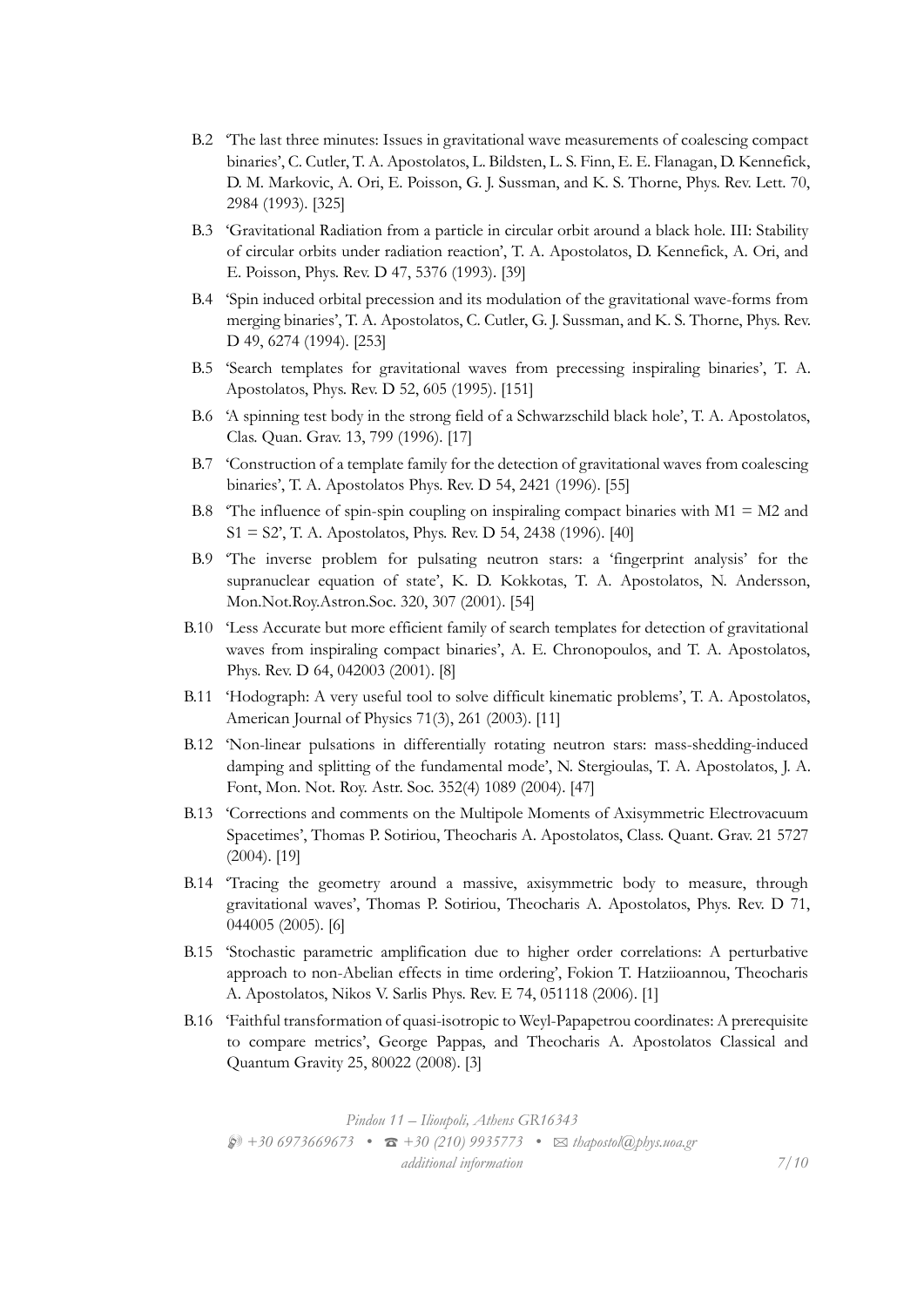- B.2 'The last three minutes: Issues in gravitational wave measurements of coalescing compact binaries', C. Cutler, T. A. Apostolatos, L. Bildsten, L. S. Finn, E. E. Flanagan, D. Kennefick, D. M. Markovic, A. Ori, E. Poisson, G. J. Sussman, and K. S. Thorne, Phys. Rev. Lett. 70, 2984 (1993). [325]
- B.3 'Gravitational Radiation from a particle in circular orbit around a black hole. III: Stability of circular orbits under radiation reaction', T. A. Apostolatos, D. Kennefick, A. Ori, and E. Poisson, Phys. Rev. D 47, 5376 (1993). [39]
- B.4 'Spin induced orbital precession and its modulation of the gravitational wave-forms from merging binaries', T. A. Apostolatos, C. Cutler, G. J. Sussman, and K. S. Thorne, Phys. Rev. D 49, 6274 (1994). [253]
- B.5 'Search templates for gravitational waves from precessing inspiraling binaries', T. A. Apostolatos, Phys. Rev. D 52, 605 (1995). [151]
- B.6 'A spinning test body in the strong field of a Schwarzschild black hole', T. A. Apostolatos, Clas. Quan. Grav. 13, 799 (1996). [17]
- B.7 'Construction of a template family for the detection of gravitational waves from coalescing binaries', T. A. Apostolatos Phys. Rev. D 54, 2421 (1996). [55]
- B.8  $\degree$  The influence of spin-spin coupling on inspiraling compact binaries with M1 = M2 and S1 = S2', T. A. Apostolatos, Phys. Rev. D 54, 2438 (1996). [40]
- B.9 'The inverse problem for pulsating neutron stars: a 'fingerprint analysis' for the supranuclear equation of state', K. D. Kokkotas, T. A. Apostolatos, N. Andersson, Mon.Not.Roy.Astron.Soc. 320, 307 (2001). [54]
- B.10 'Less Accurate but more efficient family of search templates for detection of gravitational waves from inspiraling compact binaries', A. E. Chronopoulos, and T. A. Apostolatos, Phys. Rev. D 64, 042003 (2001). [8]
- B.11 'Hodograph: A very useful tool to solve difficult kinematic problems', T. A. Apostolatos, American Journal of Physics 71(3), 261 (2003). [11]
- B.12 'Non-linear pulsations in differentially rotating neutron stars: mass-shedding-induced damping and splitting of the fundamental mode', N. Stergioulas, T. A. Apostolatos, J. A. Font, Mon. Not. Roy. Astr. Soc. 352(4) 1089 (2004). [47]
- B.13 'Corrections and comments on the Multipole Moments of Axisymmetric Electrovacuum Spacetimes', Thomas P. Sotiriou, Theocharis A. Apostolatos, Class. Quant. Grav. 21 5727 (2004). [19]
- B.14 'Tracing the geometry around a massive, axisymmetric body to measure, through gravitational waves', Thomas P. Sotiriou, Theocharis A. Apostolatos, Phys. Rev. D 71, 044005 (2005). [6]
- B.15 'Stochastic parametric amplification due to higher order correlations: A perturbative approach to non-Abelian effects in time ordering', Fokion T. Hatziioannou, Theocharis A. Apostolatos, Nikos V. Sarlis Phys. Rev. E 74, 051118 (2006). [1]
- B.16 'Faithful transformation of quasi-isotropic to Weyl-Papapetrou coordinates: A prerequisite to compare metrics', George Pappas, and Theocharis A. Apostolatos Classical and Quantum Gravity 25, 80022 (2008). [3]

*Pindou 11 – Ilioupoli, Athens GR16343* H *+30 6973669673 •* T *+30 (210) 9935773 •* B *thapostol@phys.uoa.gr additional information 7/10*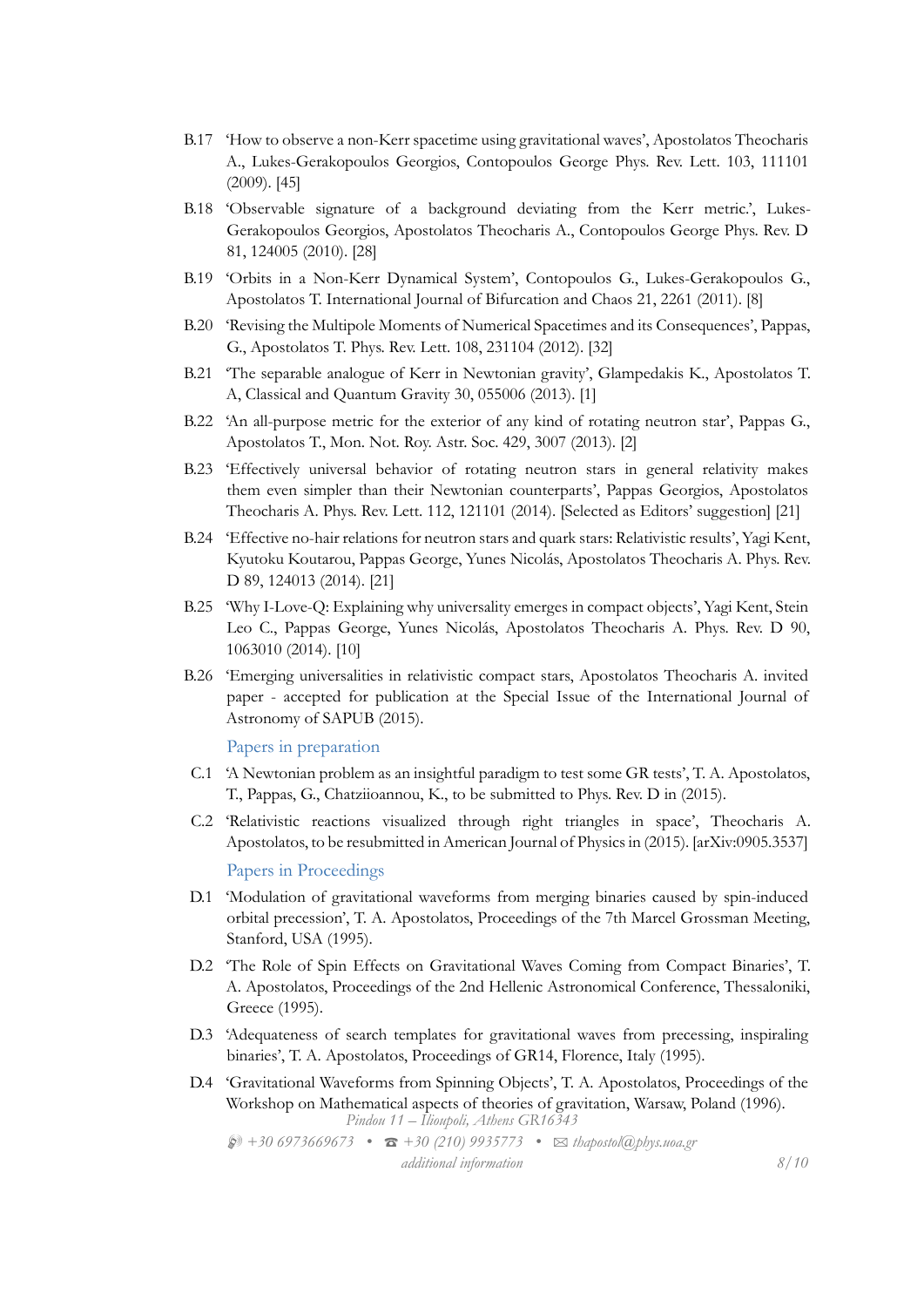- B.17 'How to observe a non-Kerr spacetime using gravitational waves', Apostolatos Theocharis A., Lukes-Gerakopoulos Georgios, Contopoulos George Phys. Rev. Lett. 103, 111101 (2009). [45]
- B.18 'Observable signature of a background deviating from the Kerr metric.', Lukes-Gerakopoulos Georgios, Apostolatos Theocharis A., Contopoulos George Phys. Rev. D 81, 124005 (2010). [28]
- B.19 'Orbits in a Non-Kerr Dynamical System', Contopoulos G., Lukes-Gerakopoulos G., Apostolatos T. International Journal of Bifurcation and Chaos 21, 2261 (2011). [8]
- B.20 'Revising the Multipole Moments of Numerical Spacetimes and its Consequences', Pappas, G., Apostolatos T. Phys. Rev. Lett. 108, 231104 (2012). [32]
- B.21 'The separable analogue of Kerr in Newtonian gravity', Glampedakis K., Apostolatos T. A, Classical and Quantum Gravity 30, 055006 (2013). [1]
- B.22 'An all-purpose metric for the exterior of any kind of rotating neutron star', Pappas G., Apostolatos T., Mon. Not. Roy. Astr. Soc. 429, 3007 (2013). [2]
- B.23 'Effectively universal behavior of rotating neutron stars in general relativity makes them even simpler than their Newtonian counterparts', Pappas Georgios, Apostolatos Theocharis A. Phys. Rev. Lett. 112, 121101 (2014). [Selected as Editors' suggestion] [21]
- B.24 'Effective no-hair relations for neutron stars and quark stars: Relativistic results', Yagi Kent, Kyutoku Koutarou, Pappas George, Yunes Nicolás, Apostolatos Theocharis A. Phys. Rev. D 89, 124013 (2014). [21]
- B.25 'Why I-Love-Q: Explaining why universality emerges in compact objects', Yagi Kent, Stein Leo C., Pappas George, Yunes Nicolás, Apostolatos Theocharis A. Phys. Rev. D 90, 1063010 (2014). [10]
- B.26 'Emerging universalities in relativistic compact stars, Apostolatos Theocharis A. invited paper - accepted for publication at the Special Issue of the International Journal of Astronomy of SAPUB (2015).

Papers in preparation

- C.1 'A Newtonian problem as an insightful paradigm to test some GR tests', T. A. Apostolatos, T., Pappas, G., Chatziioannou, K., to be submitted to Phys. Rev. D in (2015).
- C.2 'Relativistic reactions visualized through right triangles in space', Theocharis A. Apostolatos, to be resubmitted in American Journal of Physics in (2015). [arXiv:0905.3537]

Papers in Proceedings

- D.1 'Modulation of gravitational waveforms from merging binaries caused by spin-induced orbital precession', T. A. Apostolatos, Proceedings of the 7th Marcel Grossman Meeting, Stanford, USA (1995).
- D.2 'The Role of Spin Effects on Gravitational Waves Coming from Compact Binaries', T. A. Apostolatos, Proceedings of the 2nd Hellenic Astronomical Conference, Thessaloniki, Greece (1995).
- D.3 'Adequateness of search templates for gravitational waves from precessing, inspiraling binaries', T. A. Apostolatos, Proceedings of GR14, Florence, Italy (1995).
- D.4 'Gravitational Waveforms from Spinning Objects', T. A. Apostolatos, Proceedings of the Workshop on Mathematical aspects of theories of gravitation, Warsaw, Poland (1996). *Pindou 11 – Ilioupoli, Athens GR16343*

H *+30 6973669673 •* T *+30 (210) 9935773 •* B *thapostol@phys.uoa.gr additional information 8/10*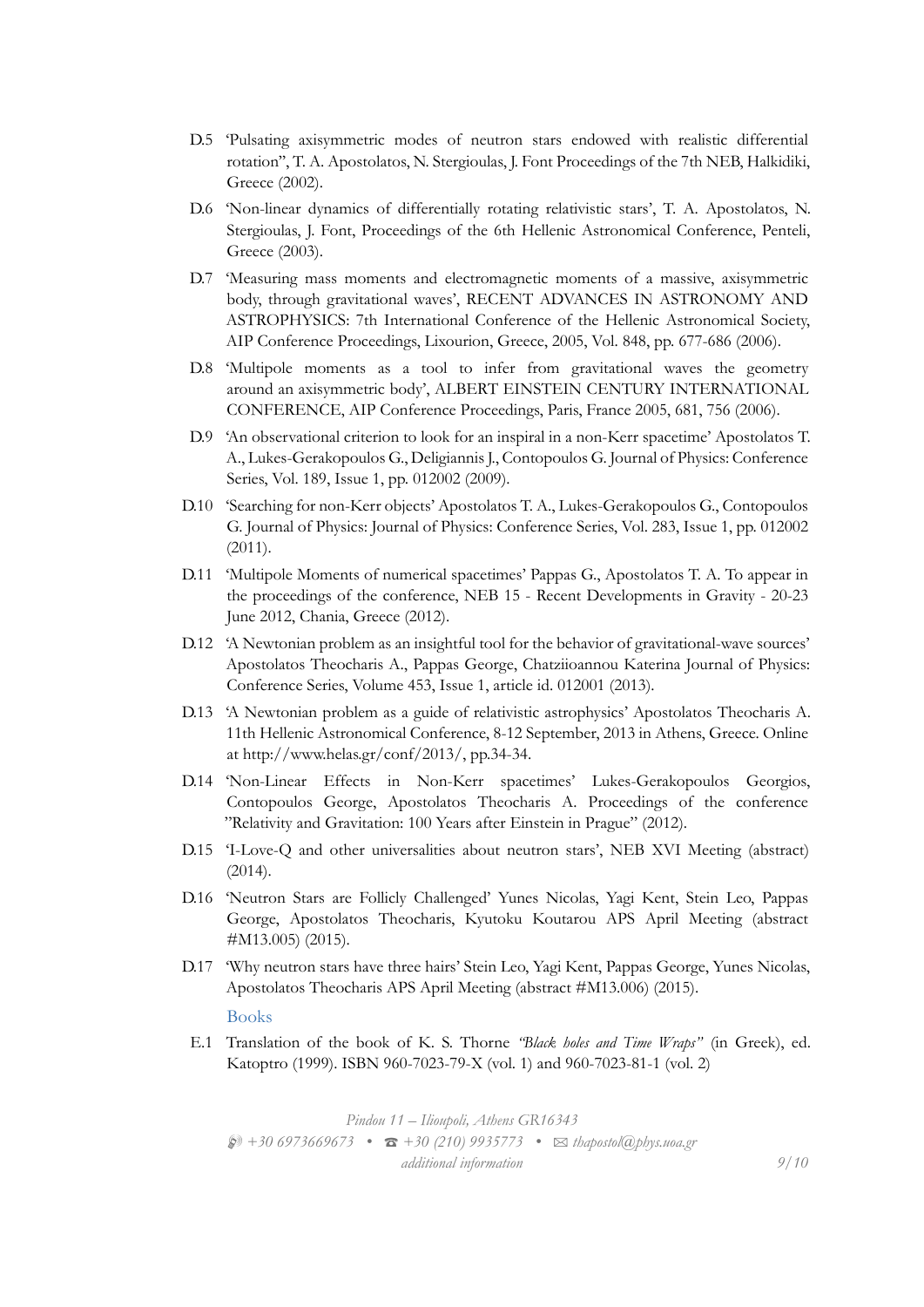- D.5 'Pulsating axisymmetric modes of neutron stars endowed with realistic differential rotation'', T. A. Apostolatos, N. Stergioulas, J. Font Proceedings of the 7th NEB, Halkidiki, Greece (2002).
- D.6 'Non-linear dynamics of differentially rotating relativistic stars', T. A. Apostolatos, N. Stergioulas, J. Font, Proceedings of the 6th Hellenic Astronomical Conference, Penteli, Greece (2003).
- D.7 'Measuring mass moments and electromagnetic moments of a massive, axisymmetric body, through gravitational waves', RECENT ADVANCES IN ASTRONOMY AND ASTROPHYSICS: 7th International Conference of the Hellenic Astronomical Society, AIP Conference Proceedings, Lixourion, Greece, 2005, Vol. 848, pp. 677-686 (2006).
- D.8 'Multipole moments as a tool to infer from gravitational waves the geometry around an axisymmetric body', ALBERT EINSTEIN CENTURY INTERNATIONAL CONFERENCE, AIP Conference Proceedings, Paris, France 2005, 681, 756 (2006).
- D.9 'An observational criterion to look for an inspiral in a non-Kerr spacetime' Apostolatos T. A., Lukes-Gerakopoulos G., Deligiannis J., Contopoulos G. Journal of Physics: Conference Series, Vol. 189, Issue 1, pp. 012002 (2009).
- D.10 'Searching for non-Kerr objects' Apostolatos T. A., Lukes-Gerakopoulos G., Contopoulos G. Journal of Physics: Journal of Physics: Conference Series, Vol. 283, Issue 1, pp. 012002 (2011).
- D.11 'Multipole Moments of numerical spacetimes' Pappas G., Apostolatos T. A. To appear in the proceedings of the conference, NEB 15 - Recent Developments in Gravity - 20-23 June 2012, Chania, Greece (2012).
- D.12 'A Newtonian problem as an insightful tool for the behavior of gravitational-wave sources' Apostolatos Theocharis A., Pappas George, Chatziioannou Katerina Journal of Physics: Conference Series, Volume 453, Issue 1, article id. 012001 (2013).
- D.13 'A Newtonian problem as a guide of relativistic astrophysics' Apostolatos Theocharis A. 11th Hellenic Astronomical Conference, 8-12 September, 2013 in Athens, Greece. Online at http://www.helas.gr/conf/2013/, pp.34-34.
- D.14 'Non-Linear Effects in Non-Kerr spacetimes' Lukes-Gerakopoulos Georgios, Contopoulos George, Apostolatos Theocharis A. Proceedings of the conference "Relativity and Gravitation: 100 Years after Einstein in Prague" (2012).
- D.15 'I-Love-Q and other universalities about neutron stars', ΝΕΒ XVI Meeting (abstract) (2014).
- D.16 'Neutron Stars are Follicly Challenged' Yunes Nicolas, Yagi Kent, Stein Leo, Pappas George, Apostolatos Theocharis, Kyutoku Koutarou APS April Meeting (abstract #Μ13.005) (2015).
- D.17 'Why neutron stars have three hairs' Stein Leo, Yagi Kent, Pappas George, Yunes Nicolas, Apostolatos Theocharis APS April Meeting (abstract #Μ13.006) (2015).

#### Books

E.1 Translation of the book of K. S. Thorne *"Black holes and Time Wraps"* (in Greek), ed. Katoptro (1999). ISBN 960-7023-79-X (vol. 1) and 960-7023-81-1 (vol. 2)

*Pindou 11 – Ilioupoli, Athens GR16343* H *+30 6973669673 •* T *+30 (210) 9935773 •* B *thapostol@phys.uoa.gr additional information 9/10*